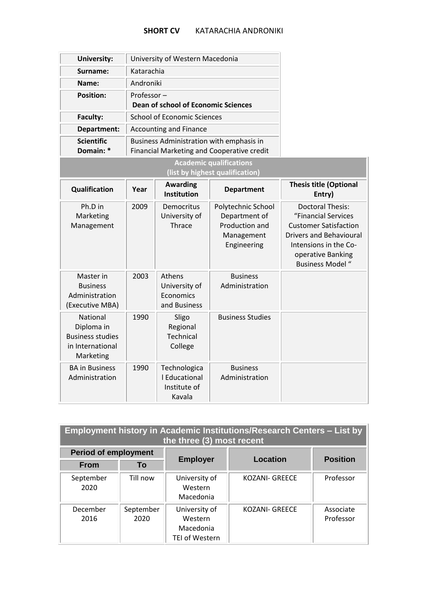## **SHORT CV** KATARACHIA ANDRONIKI

| <b>University:</b>                                                                 |            | University of Western Macedonia                         |                                                                                        |                                                                                                                                                                                           |
|------------------------------------------------------------------------------------|------------|---------------------------------------------------------|----------------------------------------------------------------------------------------|-------------------------------------------------------------------------------------------------------------------------------------------------------------------------------------------|
| Surname:                                                                           | Katarachia |                                                         |                                                                                        |                                                                                                                                                                                           |
| Name:                                                                              | Androniki  |                                                         |                                                                                        |                                                                                                                                                                                           |
| <b>Position:</b>                                                                   | Professor- | <b>Dean of school of Economic Sciences</b>              |                                                                                        |                                                                                                                                                                                           |
| Faculty:                                                                           |            | <b>School of Economic Sciences</b>                      |                                                                                        |                                                                                                                                                                                           |
| Department:                                                                        |            | <b>Accounting and Finance</b>                           |                                                                                        |                                                                                                                                                                                           |
| <b>Scientific</b><br>Domain: *                                                     |            |                                                         | Business Administration with emphasis in<br>Financial Marketing and Cooperative credit |                                                                                                                                                                                           |
|                                                                                    |            |                                                         | <b>Academic qualifications</b><br>(list by highest qualification)                      |                                                                                                                                                                                           |
| Qualification                                                                      | Year       | <b>Awarding</b><br><b>Institution</b>                   | <b>Department</b>                                                                      | <b>Thesis title (Optional</b><br>Entry)                                                                                                                                                   |
| Ph.D in<br>Marketing<br>Management                                                 | 2009       | Democritus<br>University of<br>Thrace                   | Polytechnic School<br>Department of<br>Production and<br>Management<br>Engineering     | <b>Doctoral Thesis:</b><br>"Financial Services<br><b>Customer Satisfaction</b><br><b>Drivers and Behavioural</b><br>Intensions in the Co-<br>operative Banking<br><b>Business Model</b> " |
| Master in<br><b>Business</b><br>Administration<br>(Executive MBA)                  | 2003       | Athens<br>University of<br>Economics<br>and Business    | <b>Business</b><br>Administration                                                      |                                                                                                                                                                                           |
| National<br>Diploma in<br><b>Business studies</b><br>in International<br>Marketing | 1990       | Sligo<br>Regional<br>Technical<br>College               | <b>Business Studies</b>                                                                |                                                                                                                                                                                           |
| <b>BA</b> in Business<br>Administration                                            | 1990       | Technologica<br>I Educational<br>Institute of<br>Kavala | <b>Business</b><br>Administration                                                      |                                                                                                                                                                                           |

| <b>Employment history in Academic Institutions/Research Centers - List by</b><br>the three (3) most recent |                   |                                                                |                       |                        |  |
|------------------------------------------------------------------------------------------------------------|-------------------|----------------------------------------------------------------|-----------------------|------------------------|--|
| <b>Period of employment</b>                                                                                |                   |                                                                |                       | <b>Position</b>        |  |
| <b>From</b>                                                                                                | To                | <b>Employer</b>                                                | <b>Location</b>       |                        |  |
| September<br>2020                                                                                          | Till now          | University of<br>Western<br>Macedonia                          | <b>KOZANI- GREECE</b> | Professor              |  |
| December<br>2016                                                                                           | September<br>2020 | University of<br>Western<br>Macedonia<br><b>TEI of Western</b> | <b>KOZANI- GREECE</b> | Associate<br>Professor |  |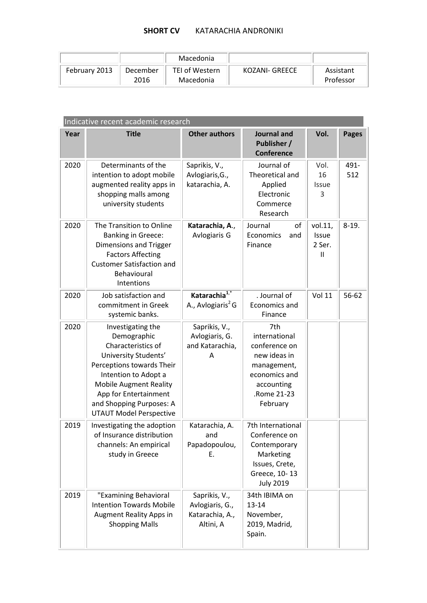## **SHORT CV** KATARACHIA ANDRONIKI

|               |                  | Macedonia                          |                |                        |
|---------------|------------------|------------------------------------|----------------|------------------------|
| February 2013 | December<br>2016 | <b>TEI of Western</b><br>Macedonia | KOZANI- GREECE | Assistant<br>Professor |

| Indicative recent academic research |                                                                                                                                                                                                                                                             |                                                                  |                                                                                                                                |                                        |              |  |
|-------------------------------------|-------------------------------------------------------------------------------------------------------------------------------------------------------------------------------------------------------------------------------------------------------------|------------------------------------------------------------------|--------------------------------------------------------------------------------------------------------------------------------|----------------------------------------|--------------|--|
| Year                                | <b>Title</b>                                                                                                                                                                                                                                                | <b>Other authors</b>                                             | <b>Journal and</b><br>Publisher /<br><b>Conference</b>                                                                         | Vol.                                   | <b>Pages</b> |  |
| 2020                                | Determinants of the<br>intention to adopt mobile<br>augmented reality apps in<br>shopping malls among<br>university students                                                                                                                                | Saprikis, V.,<br>Avlogiaris, G.,<br>katarachia, A.               | Journal of<br>Theoretical and<br>Applied<br>Electronic<br>Commerce<br>Research                                                 | Vol.<br>16<br><b>Issue</b><br>3        | 491-<br>512  |  |
| 2020                                | The Transition to Online<br><b>Banking in Greece:</b><br><b>Dimensions and Trigger</b><br><b>Factors Affecting</b><br><b>Customer Satisfaction and</b><br>Behavioural<br>Intentions                                                                         | Katarachia, A.,<br>Avlogiaris G                                  | Journal<br>οf<br>Economics<br>and<br>Finance                                                                                   | vol.11,<br><b>Issue</b><br>2 Ser.<br>Ш | $8-19.$      |  |
| 2020                                | Job satisfaction and<br>commitment in Greek<br>systemic banks.                                                                                                                                                                                              | Katarachia <sup>1,*</sup><br>A., Avlogiaris <sup>2</sup> G       | . Journal of<br>Economics and<br>Finance                                                                                       | <b>Vol 11</b>                          | 56-62        |  |
| 2020                                | Investigating the<br>Demographic<br>Characteristics of<br>University Students'<br>Perceptions towards Their<br>Intention to Adopt a<br><b>Mobile Augment Reality</b><br>App for Entertainment<br>and Shopping Purposes: A<br><b>UTAUT Model Perspective</b> | Saprikis, V.,<br>Avlogiaris, G.<br>and Katarachia,<br>A          | 7th<br>international<br>conference on<br>new ideas in<br>management,<br>economics and<br>accounting<br>.Rome 21-23<br>February |                                        |              |  |
| 2019                                | Investigating the adoption<br>of Insurance distribution<br>channels: An empirical<br>study in Greece                                                                                                                                                        | Katarachia, A.<br>and<br>Papadopoulou,<br>Ε.                     | 7th International<br>Conference on<br>Contemporary<br>Marketing<br>Issues, Crete,<br>Greece, 10-13<br><b>July 2019</b>         |                                        |              |  |
| 2019                                | "Examining Behavioral<br><b>Intention Towards Mobile</b><br><b>Augment Reality Apps in</b><br><b>Shopping Malls</b>                                                                                                                                         | Saprikis, V.,<br>Avlogiaris, G.,<br>Katarachia, A.,<br>Altini, A | 34th IBIMA on<br>$13 - 14$<br>November,<br>2019, Madrid,<br>Spain.                                                             |                                        |              |  |